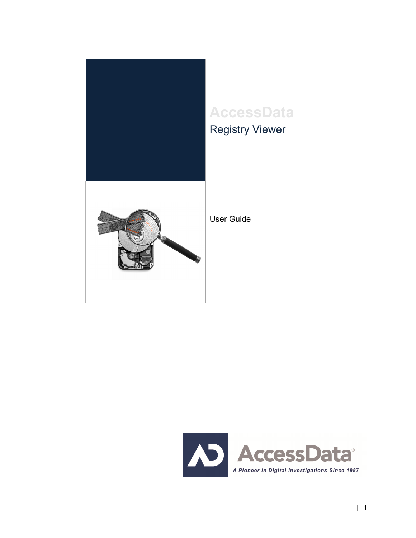

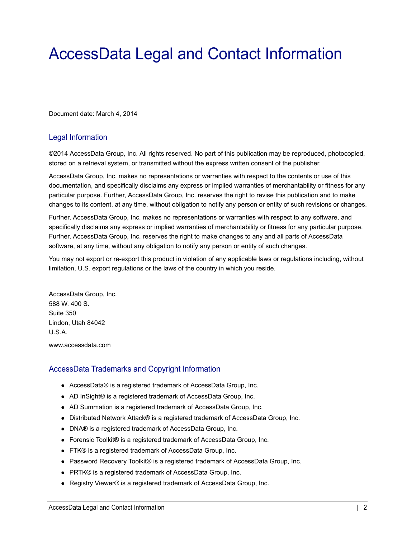# <span id="page-1-0"></span>AccessData Legal and Contact Information

Document date: March 4, 2014

### Legal Information

©2014 AccessData Group, Inc. All rights reserved. No part of this publication may be reproduced, photocopied, stored on a retrieval system, or transmitted without the express written consent of the publisher.

AccessData Group, Inc. makes no representations or warranties with respect to the contents or use of this documentation, and specifically disclaims any express or implied warranties of merchantability or fitness for any particular purpose. Further, AccessData Group, Inc. reserves the right to revise this publication and to make changes to its content, at any time, without obligation to notify any person or entity of such revisions or changes.

Further, AccessData Group, Inc. makes no representations or warranties with respect to any software, and specifically disclaims any express or implied warranties of merchantability or fitness for any particular purpose. Further, AccessData Group, Inc. reserves the right to make changes to any and all parts of AccessData software, at any time, without any obligation to notify any person or entity of such changes.

You may not export or re-export this product in violation of any applicable laws or regulations including, without limitation, U.S. export regulations or the laws of the country in which you reside.

AccessData Group, Inc. 588 W. 400 S. Suite 350 Lindon, Utah 84042 U.S.A. www.accessdata.com

### AccessData Trademarks and Copyright Information

- AccessData® is a registered trademark of AccessData Group, Inc.
- AD InSight® is a registered trademark of AccessData Group, Inc.
- AD Summation is a registered trademark of AccessData Group, Inc.
- Distributed Network Attack® is a registered trademark of AccessData Group, Inc.
- DNA® is a registered trademark of AccessData Group, Inc.
- Forensic Toolkit® is a registered trademark of AccessData Group, Inc.
- FTK® is a registered trademark of AccessData Group, Inc.
- Password Recovery Toolkit® is a registered trademark of AccessData Group, Inc.
- PRTK® is a registered trademark of AccessData Group, Inc.
- Registry Viewer® is a registered trademark of AccessData Group, Inc.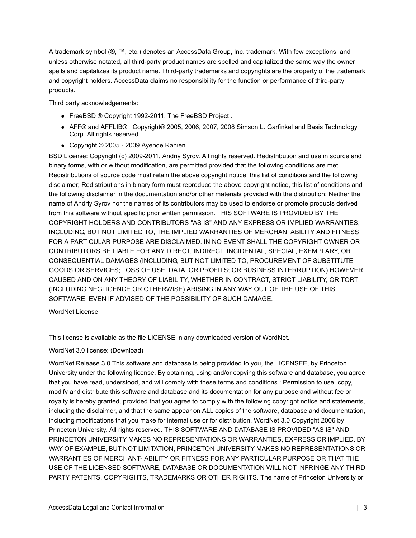A trademark symbol (®, ™, etc.) denotes an AccessData Group, Inc. trademark. With few exceptions, and unless otherwise notated, all third-party product names are spelled and capitalized the same way the owner spells and capitalizes its product name. Third-party trademarks and copyrights are the property of the trademark and copyright holders. AccessData claims no responsibility for the function or performance of third-party products.

Third party acknowledgements:

- FreeBSD ® Copyright 1992-2011. The FreeBSD Project .
- AFF® and AFFLIB® Copyright® 2005, 2006, 2007, 2008 Simson L. Garfinkel and Basis Technology Corp. All rights reserved.
- Copyright © 2005 2009 Ayende Rahien

BSD License: Copyright (c) 2009-2011, Andriy Syrov. All rights reserved. Redistribution and use in source and binary forms, with or without modification, are permitted provided that the following conditions are met: Redistributions of source code must retain the above copyright notice, this list of conditions and the following disclaimer; Redistributions in binary form must reproduce the above copyright notice, this list of conditions and the following disclaimer in the documentation and/or other materials provided with the distribution; Neither the name of Andriy Syrov nor the names of its contributors may be used to endorse or promote products derived from this software without specific prior written permission. THIS SOFTWARE IS PROVIDED BY THE COPYRIGHT HOLDERS AND CONTRIBUTORS "AS IS" AND ANY EXPRESS OR IMPLIED WARRANTIES, INCLUDING, BUT NOT LIMITED TO, THE IMPLIED WARRANTIES OF MERCHANTABILITY AND FITNESS FOR A PARTICULAR PURPOSE ARE DISCLAIMED. IN NO EVENT SHALL THE COPYRIGHT OWNER OR CONTRIBUTORS BE LIABLE FOR ANY DIRECT, INDIRECT, INCIDENTAL, SPECIAL, EXEMPLARY, OR CONSEQUENTIAL DAMAGES (INCLUDING, BUT NOT LIMITED TO, PROCUREMENT OF SUBSTITUTE GOODS OR SERVICES; LOSS OF USE, DATA, OR PROFITS; OR BUSINESS INTERRUPTION) HOWEVER CAUSED AND ON ANY THEORY OF LIABILITY, WHETHER IN CONTRACT, STRICT LIABILITY, OR TORT (INCLUDING NEGLIGENCE OR OTHERWISE) ARISING IN ANY WAY OUT OF THE USE OF THIS SOFTWARE, EVEN IF ADVISED OF THE POSSIBILITY OF SUCH DAMAGE.

WordNet License

This license is available as the file LICENSE in any downloaded version of WordNet.

### WordNet 3.0 license: (Download)

WordNet Release 3.0 This software and database is being provided to you, the LICENSEE, by Princeton University under the following license. By obtaining, using and/or copying this software and database, you agree that you have read, understood, and will comply with these terms and conditions.: Permission to use, copy, modify and distribute this software and database and its documentation for any purpose and without fee or royalty is hereby granted, provided that you agree to comply with the following copyright notice and statements, including the disclaimer, and that the same appear on ALL copies of the software, database and documentation, including modifications that you make for internal use or for distribution. WordNet 3.0 Copyright 2006 by Princeton University. All rights reserved. THIS SOFTWARE AND DATABASE IS PROVIDED "AS IS" AND PRINCETON UNIVERSITY MAKES NO REPRESENTATIONS OR WARRANTIES, EXPRESS OR IMPLIED. BY WAY OF EXAMPLE, BUT NOT LIMITATION, PRINCETON UNIVERSITY MAKES NO REPRESENTATIONS OR WARRANTIES OF MERCHANT- ABILITY OR FITNESS FOR ANY PARTICULAR PURPOSE OR THAT THE USE OF THE LICENSED SOFTWARE, DATABASE OR DOCUMENTATION WILL NOT INFRINGE ANY THIRD PARTY PATENTS, COPYRIGHTS, TRADEMARKS OR OTHER RIGHTS. The name of Princeton University or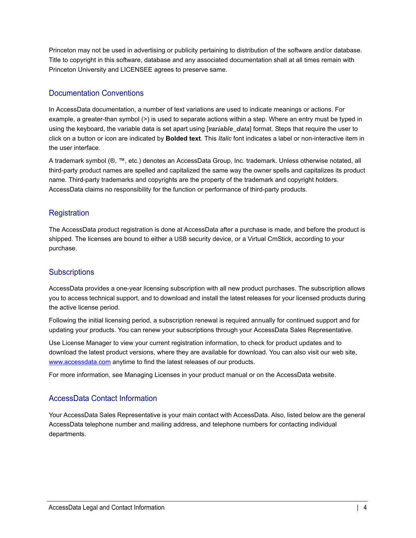Princeton may not be used in advertising or publicity pertaining to distribution of the software and/or database. Title to copyright in this software, database and any associated documentation shall at all times remain with Princeton University and LICENSEE agrees to preserve same.

### Documentation Conventions

In AccessData documentation, a number of text variations are used to indicate meanings or actions. For example, a greater-than symbol (>) is used to separate actions within a step. Where an entry must be typed in using the keyboard, the variable data is set apart using [*variable\_data*] format. Steps that require the user to click on a button or icon are indicated by **Bolded text**. This *Italic* font indicates a label or non-interactive item in the user interface.

A trademark symbol (®, ™, etc.) denotes an AccessData Group, Inc. trademark. Unless otherwise notated, all third-party product names are spelled and capitalized the same way the owner spells and capitalizes its product name. Third-party trademarks and copyrights are the property of the trademark and copyright holders. AccessData claims no responsibility for the function or performance of third-party products.

### **Registration**

The AccessData product registration is done at AccessData after a purchase is made, and before the product is shipped. The licenses are bound to either a USB security device, or a Virtual CmStick, according to your purchase.

### **Subscriptions**

AccessData provides a one-year licensing subscription with all new product purchases. The subscription allows you to access technical support, and to download and install the latest releases for your licensed products during the active license period.

Following the initial licensing period, a subscription renewal is required annually for continued support and for updating your products. You can renew your subscriptions through your AccessData Sales Representative.

Use License Manager to view your current registration information, to check for product updates and to download the latest product versions, where they are available for download. You can also visit our web site, www.accessdata.com anytime to find the latest releases of our products.

For more information, see Managing Licenses in your product manual or on the AccessData website.

### AccessData Contact Information

Your AccessData Sales Representative is your main contact with AccessData. Also, listed below are the general AccessData telephone number and mailing address, and telephone numbers for contacting individual departments.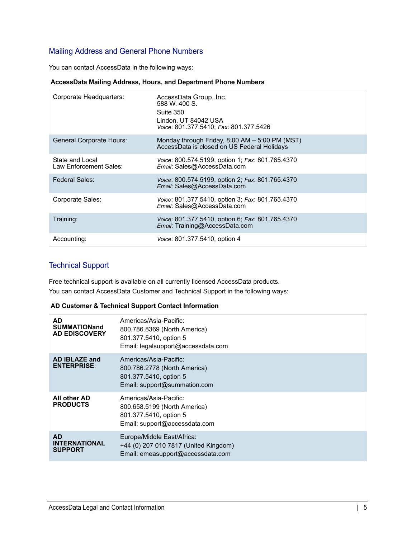### Mailing Address and General Phone Numbers

You can contact AccessData in the following ways:

#### **AccessData Mailing Address, Hours, and Department Phone Numbers**

| Corporate Headquarters:                   | AccessData Group, Inc.<br>588 W. 400 S.<br>Suite 350<br>Lindon, UT 84042 USA<br>Voice: 801.377.5410; Fax: 801.377.5426 |
|-------------------------------------------|------------------------------------------------------------------------------------------------------------------------|
| <b>General Corporate Hours:</b>           | Monday through Friday, $8:00$ AM $-5:00$ PM (MST)<br>AccessData is closed on US Federal Holidays                       |
| State and Local<br>Law Enforcement Sales: | Voice: 800.574.5199, option 1; Fax: 801.765.4370<br>Email: Sales@AccessData.com                                        |
| Federal Sales:                            | Voice: 800.574.5199, option 2; Fax: 801.765.4370<br>Email: Sales@AccessData.com                                        |
| Corporate Sales:                          | <i>Voice: 801.377.5410, option 3; Fax: 801.765.4370</i><br>Email: Sales@AccessData.com                                 |
| Training:                                 | Voice: 801.377.5410, option 6; Fax: 801.765.4370<br>Email: Training@AccessData.com                                     |
| Accounting:                               | <i>Voice:</i> 801.377.5410, option 4                                                                                   |

### Technical Support

Free technical support is available on all currently licensed AccessData products. You can contact AccessData Customer and Technical Support in the following ways:

#### **AD Customer & Technical Support Contact Information**

| <b>AD</b><br><b>SUMMATIONand</b><br><b>AD EDISCOVERY</b> | Americas/Asia-Pacific:<br>800.786.8369 (North America)<br>801.377.5410, option 5                                  |
|----------------------------------------------------------|-------------------------------------------------------------------------------------------------------------------|
|                                                          | Email: legalsupport@accessdata.com                                                                                |
| AD IBLAZE and<br><b>ENTERPRISE:</b>                      | Americas/Asia-Pacific:<br>800.786.2778 (North America)<br>801.377.5410, option 5<br>Email: support@summation.com  |
| All other AD<br><b>PRODUCTS</b>                          | Americas/Asia-Pacific:<br>800.658.5199 (North America)<br>801.377.5410, option 5<br>Email: support@accessdata.com |
| <b>AD</b><br><b>INTERNATIONAL</b><br><b>SUPPORT</b>      | Europe/Middle East/Africa:<br>+44 (0) 207 010 7817 (United Kingdom)<br>Email: emeasupport@accessdata.com          |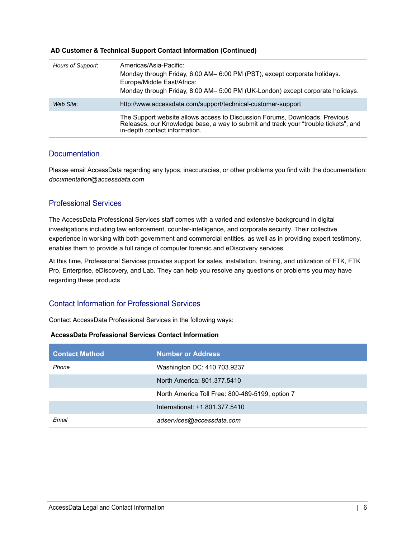### **AD Customer & Technical Support Contact Information (Continued)**

| Hours of Support: | Americas/Asia-Pacific:<br>Monday through Friday, 6:00 AM- 6:00 PM (PST), except corporate holidays.<br>Europe/Middle East/Africa:<br>Monday through Friday, 8:00 AM- 5:00 PM (UK-London) except corporate holidays. |
|-------------------|---------------------------------------------------------------------------------------------------------------------------------------------------------------------------------------------------------------------|
| Web Site:         | http://www.accessdata.com/support/technical-customer-support                                                                                                                                                        |
|                   | The Support website allows access to Discussion Forums, Downloads, Previous<br>Releases, our Knowledge base, a way to submit and track your "trouble tickets", and<br>in-depth contact information.                 |

### **Documentation**

Please email AccessData regarding any typos, inaccuracies, or other problems you find with the documentation: *documentation@accessdata.com*

### Professional Services

The AccessData Professional Services staff comes with a varied and extensive background in digital investigations including law enforcement, counter-intelligence, and corporate security. Their collective experience in working with both government and commercial entities, as well as in providing expert testimony, enables them to provide a full range of computer forensic and eDiscovery services.

At this time, Professional Services provides support for sales, installation, training, and utilization of FTK, FTK Pro, Enterprise, eDiscovery, and Lab. They can help you resolve any questions or problems you may have regarding these products

### Contact Information for Professional Services

Contact AccessData Professional Services in the following ways:

#### **AccessData Professional Services Contact Information**

| <b>Contact Method</b> | <b>Number or Address</b>                        |
|-----------------------|-------------------------------------------------|
| Phone                 | Washington DC: 410.703.9237                     |
|                       | North America: 801.377.5410                     |
|                       | North America Toll Free: 800-489-5199, option 7 |
|                       | International: +1.801.377.5410                  |
| Email                 | adservices@accessdata.com                       |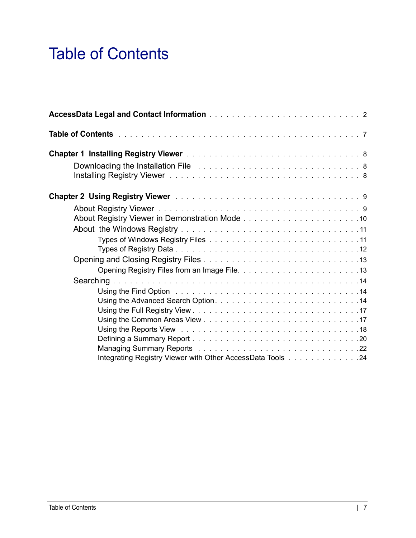# <span id="page-6-0"></span>Table of Contents

| Downloading the Installation File Albert 2014 and Albert 2014 and Albert 2014 and Albert 2014 and Albert 2014 |  |
|---------------------------------------------------------------------------------------------------------------|--|
|                                                                                                               |  |
|                                                                                                               |  |
|                                                                                                               |  |
|                                                                                                               |  |
|                                                                                                               |  |
|                                                                                                               |  |
|                                                                                                               |  |
|                                                                                                               |  |
|                                                                                                               |  |
| Integrating Registry Viewer with Other AccessData Tools 24                                                    |  |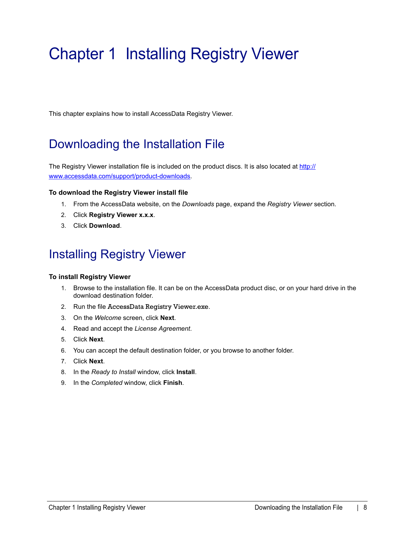# <span id="page-7-0"></span>Chapter 1 Installing Registry Viewer

This chapter explains how to install AccessData Registry Viewer.

# <span id="page-7-1"></span>Downloading the Installation File

[The Registry Viewer installation file is included on the product discs. It is also located at h](http://www.accessdata.com/support/product-downloads)ttp:// www.accessdata.com/support/product-downloads.

### **To download the Registry Viewer install file**

- 1. From the AccessData website, on the *Downloads* page, expand the *Registry Viewer* section.
- 2. Click **Registry Viewer x.x.x**.
- 3. Click **Download**.

# <span id="page-7-2"></span>Installing Registry Viewer

### **To install Registry Viewer**

- 1. Browse to the installation file. It can be on the AccessData product disc, or on your hard drive in the download destination folder.
- 2. Run the file AccessData Registry Viewer.exe.
- 3. On the *Welcome* screen, click **Next**.
- 4. Read and accept the *License Agreement*.
- 5. Click **Next**.
- 6. You can accept the default destination folder, or you browse to another folder.
- 7. Click **Next**.
- 8. In the *Ready to Install* window, click **Install**.
- 9. In the *Completed* window, click **Finish**.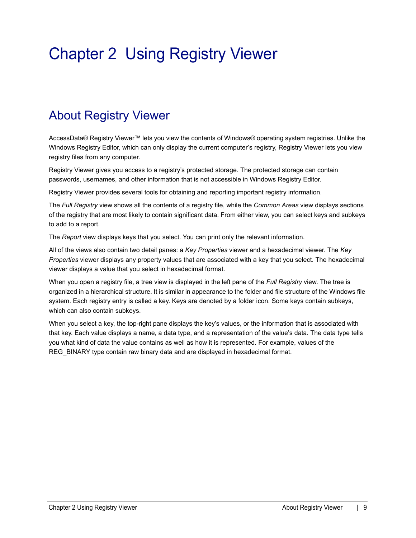# <span id="page-8-0"></span>Chapter 2 Using Registry Viewer

# <span id="page-8-1"></span>About Registry Viewer

AccessData® Registry Viewer™ lets you view the contents of Windows® operating system registries. Unlike the Windows Registry Editor, which can only display the current computer's registry, Registry Viewer lets you view registry files from any computer.

Registry Viewer gives you access to a registry's protected storage. The protected storage can contain passwords, usernames, and other information that is not accessible in Windows Registry Editor.

Registry Viewer provides several tools for obtaining and reporting important registry information.

The *Full Registry* view shows all the contents of a registry file, while the *Common Areas* view displays sections of the registry that are most likely to contain significant data. From either view, you can select keys and subkeys to add to a report.

The *Report* view displays keys that you select. You can print only the relevant information.

All of the views also contain two detail panes: a *Key Properties* viewer and a hexadecimal viewer. The *Key Properties* viewer displays any property values that are associated with a key that you select. The hexadecimal viewer displays a value that you select in hexadecimal format.

When you open a registry file, a tree view is displayed in the left pane of the *Full Registry* view. The tree is organized in a hierarchical structure. It is similar in appearance to the folder and file structure of the Windows file system. Each registry entry is called a key. Keys are denoted by a folder icon. Some keys contain subkeys, which can also contain subkeys.

When you select a key, the top-right pane displays the key's values, or the information that is associated with that key. Each value displays a name, a data type, and a representation of the value's data. The data type tells you what kind of data the value contains as well as how it is represented. For example, values of the REG BINARY type contain raw binary data and are displayed in hexadecimal format.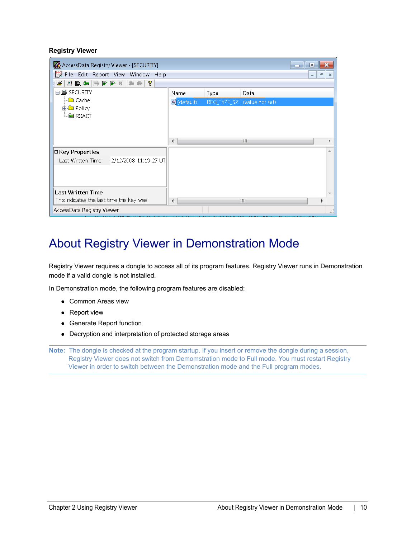#### **Registry Viewer**

| AccessData Registry Viewer - [SECURITY]                                                |                        |      |                             | o<br>$\Box$                       | $\mathbf x$ |  |
|----------------------------------------------------------------------------------------|------------------------|------|-----------------------------|-----------------------------------|-------------|--|
| File Edit Report View Window Help                                                      |                        |      |                             | $\Xi$<br>$\overline{\phantom{a}}$ | $\times$    |  |
| C)<br>$\begin{array}{c} \textbf{0} & \textbf{0} & \textbf{0} & \textbf{0} \end{array}$ |                        |      |                             |                                   |             |  |
| ⊟- <i>■</i> SECURITY                                                                   | Name                   | Type | Data                        |                                   |             |  |
| — <mark>©</mark> Cache                                                                 | $\mathbf{E}$ (default) |      | REG_TYPE_SZ (value not set) |                                   |             |  |
| 由 Policy<br><b>B</b> RXACT                                                             |                        |      |                             |                                   |             |  |
|                                                                                        |                        |      |                             |                                   |             |  |
|                                                                                        |                        |      |                             |                                   |             |  |
|                                                                                        | ∢                      |      | m                           |                                   |             |  |
| <b>E</b> Key Properties                                                                |                        |      |                             |                                   |             |  |
| Last Written Time<br>2/12/2008 11:19:27 UT                                             |                        |      |                             |                                   |             |  |
|                                                                                        |                        |      |                             |                                   |             |  |
|                                                                                        |                        |      |                             |                                   |             |  |
| <b>Last Written Time</b>                                                               |                        |      |                             |                                   |             |  |
| This indicates the last time this key was                                              | ∢                      |      | m                           |                                   |             |  |
| AccessData Registry Viewer                                                             |                        |      |                             |                                   |             |  |

# <span id="page-9-0"></span>About Registry Viewer in Demonstration Mode

Registry Viewer requires a dongle to access all of its program features. Registry Viewer runs in Demonstration mode if a valid dongle is not installed.

In Demonstration mode, the following program features are disabled:

- Common Areas view
- Report view
- Generate Report function
- Decryption and interpretation of protected storage areas

**Note:** The dongle is checked at the program startup. If you insert or remove the dongle during a session, Registry Viewer does not switch from Demomstration mode to Full mode. You must restart Registry Viewer in order to switch between the Demonstration mode and the Full program modes.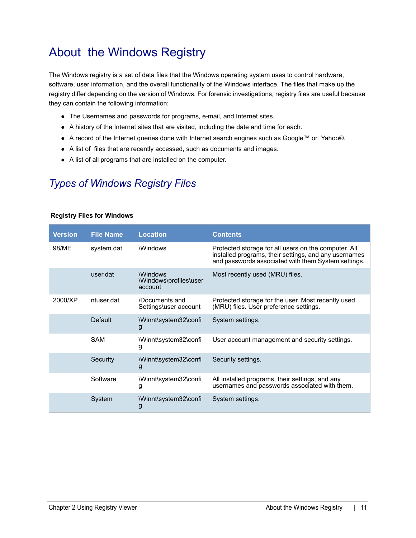# <span id="page-10-0"></span>About the Windows Registry

The Windows registry is a set of data files that the Windows operating system uses to control hardware, software, user information, and the overall functionality of the Windows interface. The files that make up the registry differ depending on the version of Windows. For forensic investigations, registry files are useful because they can contain the following information:

- The Usernames and passwords for programs, e-mail, and Internet sites.
- A history of the Internet sites that are visited, including the date and time for each.
- A record of the Internet queries done with Internet search engines such as Google™ or Yahoo®.
- A list of files that are recently accessed, such as documents and images.
- A list of all programs that are installed on the computer.

### <span id="page-10-1"></span>*Types of Windows Registry Files*

#### **Version** File Name Location **Contents** 98/ME system.dat Windows Protected storage for all users on the computer. All installed programs, their settings, and any usernames and passwords associated with them System settings. user.dat \Windows \Windows\profiles\user account Most recently used (MRU) files. 2000/XP ntuser.dat \Documents and Settings\user account Protected storage for the user. Most recently used (MRU) files. User preference settings. Default \Winnt\system32\confi g System settings. SAM \Winnt\system32\confi g User account management and security settings. Security \Winnt\system32\confi g Security settings. Software \Winnt\system32\confi g All installed programs, their settings, and any usernames and passwords associated with them. System \Winnt\system32\confi g System settings.

#### **Registry Files for Windows**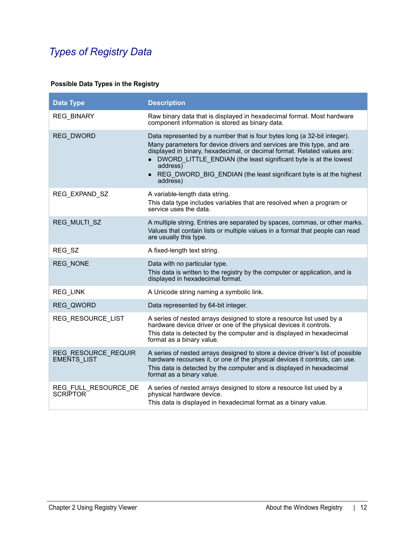## <span id="page-11-0"></span>*Types of Registry Data*

### **Possible Data Types in the Registry**

| <b>Data Type</b>                        | <b>Description</b>                                                                                                                                                                                                                                                                                                                                                                                            |
|-----------------------------------------|---------------------------------------------------------------------------------------------------------------------------------------------------------------------------------------------------------------------------------------------------------------------------------------------------------------------------------------------------------------------------------------------------------------|
| <b>REG BINARY</b>                       | Raw binary data that is displayed in hexadecimal format. Most hardware<br>component information is stored as binary data.                                                                                                                                                                                                                                                                                     |
| <b>REG DWORD</b>                        | Data represented by a number that is four bytes long (a 32-bit integer).<br>Many parameters for device drivers and services are this type, and are<br>displayed in binary, hexadecimal, or decimal format. Related values are:<br>DWORD LITTLE ENDIAN (the least significant byte is at the lowest<br>$\bullet$<br>address)<br>REG DWORD BIG ENDIAN (the least significant byte is at the highest<br>address) |
| REG_EXPAND_SZ                           | A variable-length data string.<br>This data type includes variables that are resolved when a program or<br>service uses the data.                                                                                                                                                                                                                                                                             |
| REG MULTI SZ                            | A multiple string. Entries are separated by spaces, commas, or other marks.<br>Values that contain lists or multiple values in a format that people can read<br>are usually this type.                                                                                                                                                                                                                        |
| REG_SZ                                  | A fixed-length text string.                                                                                                                                                                                                                                                                                                                                                                                   |
| <b>REG NONE</b>                         | Data with no particular type.<br>This data is written to the registry by the computer or application, and is<br>displayed in hexadecimal format.                                                                                                                                                                                                                                                              |
| <b>REG LINK</b>                         | A Unicode string naming a symbolic link.                                                                                                                                                                                                                                                                                                                                                                      |
| REG QWORD                               | Data represented by 64-bit integer.                                                                                                                                                                                                                                                                                                                                                                           |
| REG RESOURCE LIST                       | A series of nested arrays designed to store a resource list used by a<br>hardware device driver or one of the physical devices it controls.<br>This data is detected by the computer and is displayed in hexadecimal<br>format as a binary value.                                                                                                                                                             |
| REG RESOURCE REQUIR<br>EMENTS_LIST      | A series of nested arrays designed to store a device driver's list of possible<br>hardware recourses it, or one of the physical devices it controls, can use.<br>This data is detected by the computer and is displayed in hexadecimal<br>format as a binary value.                                                                                                                                           |
| REG FULL RESOURCE DE<br><b>SCRIPTOR</b> | A series of nested arrays designed to store a resource list used by a<br>physical hardware device.<br>This data is displayed in hexadecimal format as a binary value.                                                                                                                                                                                                                                         |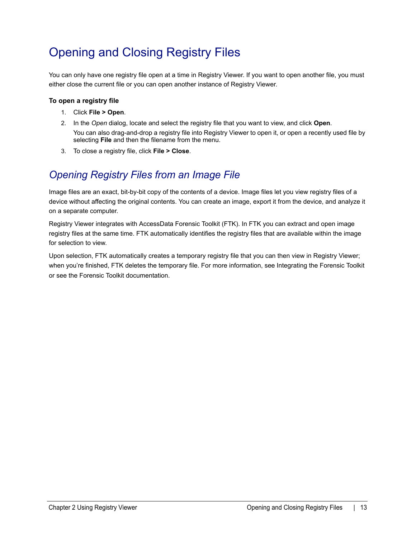# <span id="page-12-0"></span>Opening and Closing Registry Files

You can only have one registry file open at a time in Registry Viewer. If you want to open another file, you must either close the current file or you can open another instance of Registry Viewer.

### **To open a registry file**

- 1. Click **File > Open**.
- 2. In the *Open* dialog, locate and select the registry file that you want to view, and click **Open**. You can also drag-and-drop a registry file into Registry Viewer to open it, or open a recently used file by selecting **File** and then the filename from the menu.
- 3. To close a registry file, click **File > Close**.

### <span id="page-12-1"></span>*Opening Registry Files from an Image File*

Image files are an exact, bit-by-bit copy of the contents of a device. Image files let you view registry files of a device without affecting the original contents. You can create an image, export it from the device, and analyze it on a separate computer.

Registry Viewer integrates with AccessData Forensic Toolkit (FTK). In FTK you can extract and open image registry files at the same time. FTK automatically identifies the registry files that are available within the image for selection to view.

Upon selection, FTK automatically creates a temporary registry file that you can then view in Registry Viewer; when you're finished, FTK deletes the temporary file. For more information, see Integrating the Forensic Toolkit or see the Forensic Toolkit documentation.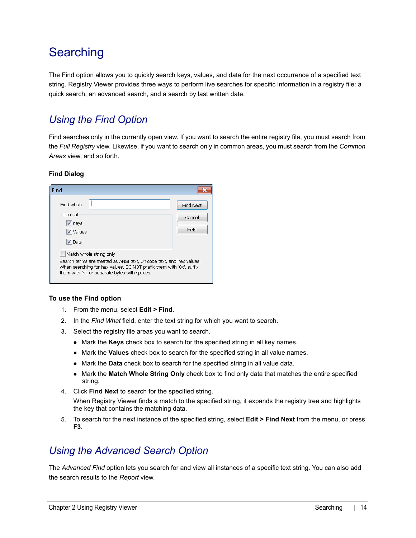## <span id="page-13-0"></span>**Searching**

The Find option allows you to quickly search keys, values, and data for the next occurrence of a specified text string. Registry Viewer provides three ways to perform live searches for specific information in a registry file: a quick search, an advanced search, and a search by last written date.

### <span id="page-13-1"></span>*Using the Find Option*

Find searches only in the currently open view. If you want to search the entire registry file, you must search from the *Full Registry* view. Likewise, if you want to search only in common areas, you must search from the *Common Areas* view, and so forth.

### **Find Dialog**

| Find                                                                                                                                                                                                                    |                                    |
|-------------------------------------------------------------------------------------------------------------------------------------------------------------------------------------------------------------------------|------------------------------------|
| Find what:<br>Look at<br>$ V $ Keys<br>Values<br>√ Data                                                                                                                                                                 | <b>Find Next</b><br>Cancel<br>Help |
| Match whole string only<br>Search terms are treated as ANSI text, Unicode text, and hex values.<br>When searching for hex values, DO NOT prefix them with '0x', suffix<br>them with 'h', or separate bytes with spaces. |                                    |

#### **To use the Find option**

- 1. From the menu, select **Edit > Find**.
- 2. In the *Find What* field, enter the text string for which you want to search.
- 3. Select the registry file areas you want to search.
	- Mark the **Keys** check box to search for the specified string in all key names.
	- Mark the **Values** check box to search for the specified string in all value names.
	- Mark the **Data** check box to search for the specified string in all value data.
	- Mark the Match Whole String Only check box to find only data that matches the entire specified string.
- 4. Click **Find Next** to search for the specified string. When Registry Viewer finds a match to the specified string, it expands the registry tree and highlights the key that contains the matching data.
- 5. To search for the next instance of the specified string, select **Edit > Find Next** from the menu, or press **F3**.

### <span id="page-13-2"></span>*Using the Advanced Search Option*

The *Advanced Find* option lets you search for and view all instances of a specific text string. You can also add the search results to the *Report* view.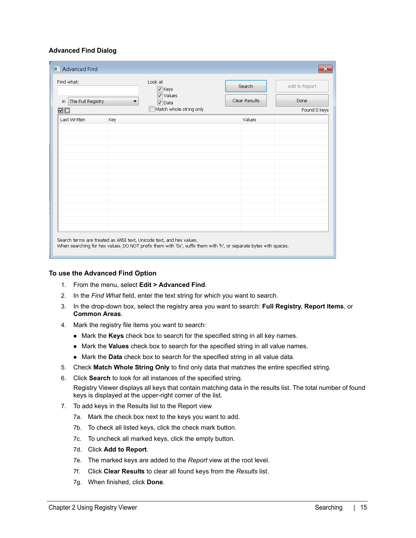#### **Advanced Find Dialog**

| Find what:<br>The Full Registry<br>in<br>ØO |     | Look at<br>$\sqrt{\phantom{a}}$ Keys<br>Values<br>$\sqrt{ }$ Data<br>▼<br>Match whole string only | Search<br>Clear Results | Add to Report<br>Done<br>Found 0 keys |
|---------------------------------------------|-----|---------------------------------------------------------------------------------------------------|-------------------------|---------------------------------------|
| Last Written                                | Key |                                                                                                   | Values                  |                                       |
|                                             |     |                                                                                                   |                         |                                       |
|                                             |     |                                                                                                   |                         |                                       |
|                                             |     |                                                                                                   |                         |                                       |
|                                             |     |                                                                                                   |                         |                                       |

#### **To use the Advanced Find Option**

- 1. From the menu, select **Edit > Advanced Find**.
- 2. In the *Find What* field, enter the text string for which you want to search.
- 3. In the drop-down box, select the registry area you want to search: **Full Registry**, **Report Items**, or **Common Areas**.
- 4. Mark the registry file items you want to search:
	- Mark the **Keys** check box to search for the specified string in all key names.
	- Mark the **Values** check box to search for the specified string in all value names.
	- Mark the **Data** check box to search for the specified string in all value data.
- 5. Check **Match Whole String Only** to find only data that matches the entire specified string.
- 6. Click **Search** to look for all instances of the specified string. Registry Viewer displays all keys that contain matching data in the results list. The total number of found keys is displayed at the upper-right corner of the list.
- 7. To add keys in the Results list to the Report view
	- 7a. Mark the check box next to the keys you want to add.
	- 7b. To check all listed keys, click the check mark button.
	- 7c. To uncheck all marked keys, click the empty button.
	- 7d. Click **Add to Report**.
	- 7e. The marked keys are added to the *Report* view at the root level.
	- 7f. Click **Clear Results** to clear all found keys from the *Results* list.
	- 7g. When finished, click **Done**.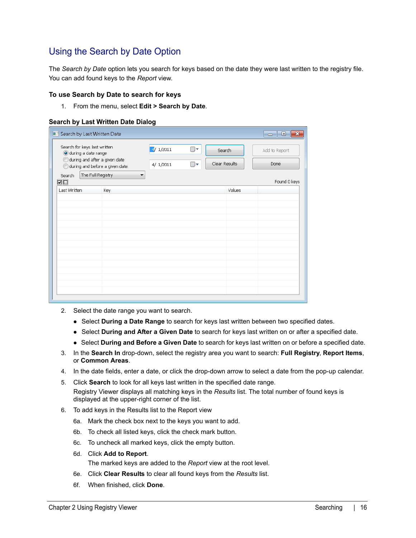### Using the Search by Date Option

The *Search by Date* option lets you search for keys based on the date they were last written to the registry file. You can add found keys to the *Report* view.

#### **To use Search by Date to search for keys**

1. From the menu, select **Edit > Search by Date**.

#### **Search by Last Written Date Dialog**

| Search by Last Written Date                                                          |     |          |    |               |        | $\mathbf{x}$<br>$\Box$<br><u> — 1</u> |
|--------------------------------------------------------------------------------------|-----|----------|----|---------------|--------|---------------------------------------|
| Search for keys last written<br>during a date range<br>during and after a given date |     | 4/1/2011 | ⊞▼ | Search        |        | Add to Report                         |
| during and before a given date                                                       |     | 4/1/2011 | ⊞∽ | Clear Results |        | Done                                  |
| The Full Registry<br>Search<br>$\Box$                                                | ▼   |          |    |               |        | Found 0 keys                          |
| Last Written                                                                         | Key |          |    |               | Values |                                       |
|                                                                                      |     |          |    |               |        |                                       |
|                                                                                      |     |          |    |               |        |                                       |
|                                                                                      |     |          |    |               |        |                                       |
|                                                                                      |     |          |    |               |        |                                       |
|                                                                                      |     |          |    |               |        |                                       |
|                                                                                      |     |          |    |               |        |                                       |
|                                                                                      |     |          |    |               |        |                                       |
|                                                                                      |     |          |    |               |        |                                       |
|                                                                                      |     |          |    |               |        |                                       |
|                                                                                      |     |          |    |               |        |                                       |
|                                                                                      |     |          |    |               |        |                                       |
|                                                                                      |     |          |    |               |        |                                       |

- 2. Select the date range you want to search.
	- **Select During a Date Range** to search for keys last written between two specified dates.
	- Select **During and After a Given Date** to search for keys last written on or after a specified date.
	- Select **During and Before a Given Date** to search for keys last written on or before a specified date.
- 3. In the **Search In** drop-down, select the registry area you want to search: **Full Registry**, **Report Items**, or **Common Areas**.
- 4. In the date fields, enter a date, or click the drop-down arrow to select a date from the pop-up calendar.
- 5. Click **Search** to look for all keys last written in the specified date range. Registry Viewer displays all matching keys in the *Results* list. The total number of found keys is displayed at the upper-right corner of the list.
- 6. To add keys in the Results list to the Report view
	- 6a. Mark the check box next to the keys you want to add.
	- 6b. To check all listed keys, click the check mark button.
	- 6c. To uncheck all marked keys, click the empty button.
	- 6d. Click **Add to Report**.

The marked keys are added to the *Report* view at the root level.

- 6e. Click **Clear Results** to clear all found keys from the *Results* list.
- 6f. When finished, click **Done**.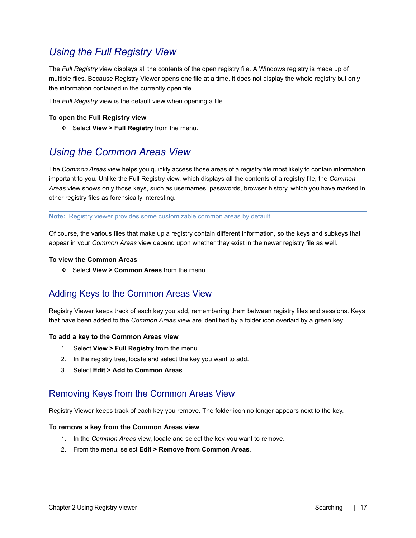### <span id="page-16-0"></span>*Using the Full Registry View*

The *Full Registry* view displays all the contents of the open registry file. A Windows registry is made up of multiple files. Because Registry Viewer opens one file at a time, it does not display the whole registry but only the information contained in the currently open file.

The *Full Registry* view is the default view when opening a file.

#### **To open the Full Registry view**

Select **View > Full Registry** from the menu.

### <span id="page-16-1"></span>*Using the Common Areas View*

The *Common Areas* view helps you quickly access those areas of a registry file most likely to contain information important to you. Unlike the Full Registry view, which displays all the contents of a registry file, the *Common Areas* view shows only those keys, such as usernames, passwords, browser history, which you have marked in other registry files as forensically interesting.

**Note:** Registry viewer provides some customizable common areas by default.

Of course, the various files that make up a registry contain different information, so the keys and subkeys that appear in your *Common Areas* view depend upon whether they exist in the newer registry file as well.

#### **To view the Common Areas**

Select **View > Common Areas** from the menu.

### Adding Keys to the Common Areas View

Registry Viewer keeps track of each key you add, remembering them between registry files and sessions. Keys that have been added to the *Common Areas* view are identified by a folder icon overlaid by a green key .

#### **To add a key to the Common Areas view**

- 1. Select **View > Full Registry** from the menu.
- 2. In the registry tree, locate and select the key you want to add.
- 3. Select **Edit > Add to Common Areas**.

### Removing Keys from the Common Areas View

Registry Viewer keeps track of each key you remove. The folder icon no longer appears next to the key.

#### **To remove a key from the Common Areas view**

- 1. In the *Common Areas* view, locate and select the key you want to remove.
- 2. From the menu, select **Edit > Remove from Common Areas**.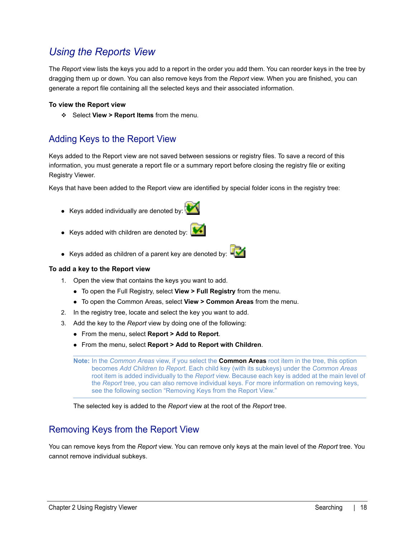### <span id="page-17-0"></span>*Using the Reports View*

The *Report* view lists the keys you add to a report in the order you add them. You can reorder keys in the tree by dragging them up or down. You can also remove keys from the *Report* view. When you are finished, you can generate a report file containing all the selected keys and their associated information.

#### **To view the Report view**

Select **View > Report Items** from the menu.

### Adding Keys to the Report View

Keys added to the Report view are not saved between sessions or registry files. To save a record of this information, you must generate a report file or a summary report before closing the registry file or exiting Registry Viewer.

Keys that have been added to the Report view are identified by special folder icons in the registry tree:

- $\bullet$  Keys added individually are denoted by:
- Keys added with children are denoted by:  $\frac{1}{2}$
- Keys added as children of a parent key are denoted by:  $\Box$

#### **To add a key to the Report view**

- 1. Open the view that contains the keys you want to add.
	- To open the Full Registry, select **View > Full Registry** from the menu.
	- To open the Common Areas, select **View > Common Areas** from the menu.
- 2. In the registry tree, locate and select the key you want to add.
- 3. Add the key to the *Report* view by doing one of the following:
	- From the menu, select **Report > Add to Report**.
	- From the menu, select **Report > Add to Report with Children**.

**Note:** In the *Common Areas* view, if you select the **Common Areas** root item in the tree, this option becomes *Add Children to Report*. Each child key (with its subkeys) under the *Common Areas* root item is added individually to the *Report* view. Because each key is added at the main level of the *Report* tree, you can also remove individual keys. For more information on removing keys, see the following section "Removing Keys from the Report View."

The selected key is added to the *Report* view at the root of the *Report* tree.

### Removing Keys from the Report View

You can remove keys from the *Report* view. You can remove only keys at the main level of the *Report* tree. You cannot remove individual subkeys.



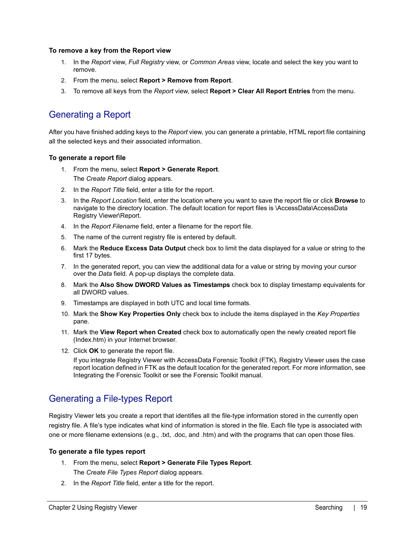#### **To remove a key from the Report view**

- 1. In the *Report* view, *Full Registry* view, or *Common Areas* view, locate and select the key you want to remove.
- 2. From the menu, select **Report > Remove from Report**.
- 3. To remove all keys from the *Report* view, select **Report > Clear All Report Entries** from the menu.

### Generating a Report

After you have finished adding keys to the *Report* view, you can generate a printable, HTML report file containing all the selected keys and their associated information.

#### **To generate a report file**

- 1. From the menu, select **Report > Generate Report**. The *Create Report* dialog appears.
- 2. In the *Report Title* field, enter a title for the report.
- 3. In the *Report Location* field, enter the location where you want to save the report file or click **Browse** to navigate to the directory location. The default location for report files is \AccessData\AccessData Registry Viewer\Report.
- 4. In the *Report Filename* field, enter a filename for the report file.
- 5. The name of the current registry file is entered by default.
- 6. Mark the **Reduce Excess Data Output** check box to limit the data displayed for a value or string to the first 17 bytes.
- 7. In the generated report, you can view the additional data for a value or string by moving your cursor over the *Data* field. A pop-up displays the complete data.
- 8. Mark the **Also Show DWORD Values as Timestamps** check box to display timestamp equivalents for all DWORD values.
- 9. Timestamps are displayed in both UTC and local time formats.
- 10. Mark the **Show Key Properties Only** check box to include the items displayed in the *Key Properties* pane.
- 11. Mark the **View Report when Created** check box to automatically open the newly created report file (Index.htm) in your Internet browser.
- 12. Click **OK** to generate the report file.

If you integrate Registry Viewer with AccessData Forensic Toolkit (FTK), Registry Viewer uses the case report location defined in FTK as the default location for the generated report. For more information, see Integrating the Forensic Toolkit or see the Forensic Toolkit manual.

### Generating a File-types Report

Registry Viewer lets you create a report that identifies all the file-type information stored in the currently open registry file. A file's type indicates what kind of information is stored in the file. Each file type is associated with one or more filename extensions (e.g., .txt, .doc, and .htm) and with the programs that can open those files.

### **To generate a file types report**

- 1. From the menu, select **Report > Generate File Types Report**. The *Create File Types Report* dialog appears.
- 2. In the *Report Title* field, enter a title for the report.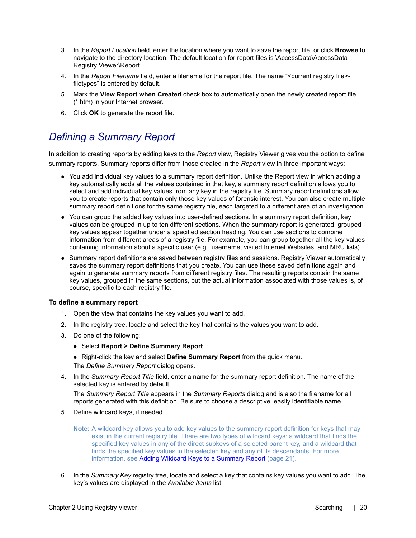- 3. In the *Report Location* field, enter the location where you want to save the report file, or click **Browse** to navigate to the directory location. The default location for report files is \AccessData\AccessData Registry Viewer\Report.
- 4. In the *Report Filename* field, enter a filename for the report file. The name "<current registry file> filetypes" is entered by default.
- 5. Mark the **View Report when Created** check box to automatically open the newly created report file (\*.htm) in your Internet browser.
- 6. Click **OK** to generate the report file.

### <span id="page-19-0"></span>*Defining a Summary Report*

In addition to creating reports by adding keys to the *Report* view, Registry Viewer gives you the option to define summary reports. Summary reports differ from those created in the *Report* view in three important ways:

- You add individual key values to a summary report definition. Unlike the Report view in which adding a key automatically adds all the values contained in that key, a summary report definition allows you to select and add individual key values from any key in the registry file. Summary report definitions allow you to create reports that contain only those key values of forensic interest. You can also create multiple summary report definitions for the same registry file, each targeted to a different area of an investigation.
- You can group the added key values into user-defined sections. In a summary report definition, key values can be grouped in up to ten different sections. When the summary report is generated, grouped key values appear together under a specified section heading. You can use sections to combine information from different areas of a registry file. For example, you can group together all the key values containing information about a specific user (e.g., username, visited Internet Websites, and MRU lists).
- Summary report definitions are saved between registry files and sessions. Registry Viewer automatically saves the summary report definitions that you create. You can use these saved definitions again and again to generate summary reports from different registry files. The resulting reports contain the same key values, grouped in the same sections, but the actual information associated with those values is, of course, specific to each registry file.

#### **To define a summary report**

- 1. Open the view that contains the key values you want to add.
- 2. In the registry tree, locate and select the key that contains the values you want to add.
- 3. Do one of the following:
	- Select **Report > Define Summary Report**.
	- Right-click the key and select **Define Summary Report** from the quick menu. The *Define Summary Report* dialog opens.
- 4. In the *Summary Report Title* field, enter a name for the summary report definition. The name of the selected key is entered by default.

The *Summary Report Title* appears in the *Summary Reports* dialog and is also the filename for all reports generated with this definition. Be sure to choose a descriptive, easily identifiable name.

5. Define wildcard keys, if needed.

6. In the *Summary Key* registry tree, locate and select a key that contains key values you want to add. The key's values are displayed in the *Available Items* list.

**Note:** A wildcard key allows you to add key values to the summary report definition for keys that may exist in the current registry file. There are two types of wildcard keys: a wildcard that finds the specified key values in any of the direct subkeys of a selected parent key, and a wildcard that finds the specified key values in the selected key and any of its descendants. For more information, see [Adding Wildcard Keys to a Summary Report \(page 21\).](#page-20-0)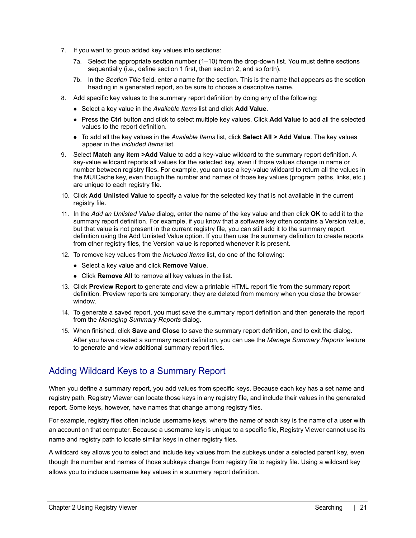- 7. If you want to group added key values into sections:
	- 7a. Select the appropriate section number (1–10) from the drop-down list. You must define sections sequentially (i.e., define section 1 first, then section 2, and so forth).
	- 7b. In the *Section Title* field, enter a name for the section. This is the name that appears as the section heading in a generated report, so be sure to choose a descriptive name.
- 8. Add specific key values to the summary report definition by doing any of the following:
	- Select a key value in the *Available Items* list and click **Add Value**.
	- Press the **Ctrl** button and click to select multiple key values. Click **Add Value** to add all the selected values to the report definition.
	- To add all the key values in the *Available Items* list, click **Select All > Add Value**. The key values appear in the *Included Items* list.
- 9. Select **Match any item >Add Value** to add a key-value wildcard to the summary report definition. A key-value wildcard reports all values for the selected key, even if those values change in name or number between registry files. For example, you can use a key-value wildcard to return all the values in the MUICache key, even though the number and names of those key values (program paths, links, etc.) are unique to each registry file.
- 10. Click **Add Unlisted Value** to specify a value for the selected key that is not available in the current registry file.
- 11. In the *Add an Unlisted Value* dialog, enter the name of the key value and then click **OK** to add it to the summary report definition. For example, if you know that a software key often contains a Version value, but that value is not present in the current registry file, you can still add it to the summary report definition using the Add Unlisted Value option. If you then use the summary definition to create reports from other registry files, the Version value is reported whenever it is present.
- 12. To remove key values from the *Included Items* list, do one of the following:
	- Select a key value and click **Remove Value**.
	- Click **Remove All** to remove all key values in the list.
- 13. Click **Preview Report** to generate and view a printable HTML report file from the summary report definition. Preview reports are temporary: they are deleted from memory when you close the browser window.
- 14. To generate a saved report, you must save the summary report definition and then generate the report from the *Managing Summary Reports* dialog.
- 15. When finished, click **Save and Close** to save the summary report definition, and to exit the dialog. After you have created a summary report definition, you can use the *Manage Summary Reports* feature to generate and view additional summary report files.

### <span id="page-20-0"></span>Adding Wildcard Keys to a Summary Report

When you define a summary report, you add values from specific keys. Because each key has a set name and registry path, Registry Viewer can locate those keys in any registry file, and include their values in the generated report. Some keys, however, have names that change among registry files.

For example, registry files often include username keys, where the name of each key is the name of a user with an account on that computer. Because a username key is unique to a specific file, Registry Viewer cannot use its name and registry path to locate similar keys in other registry files.

A wildcard key allows you to select and include key values from the subkeys under a selected parent key, even though the number and names of those subkeys change from registry file to registry file. Using a wildcard key allows you to include username key values in a summary report definition.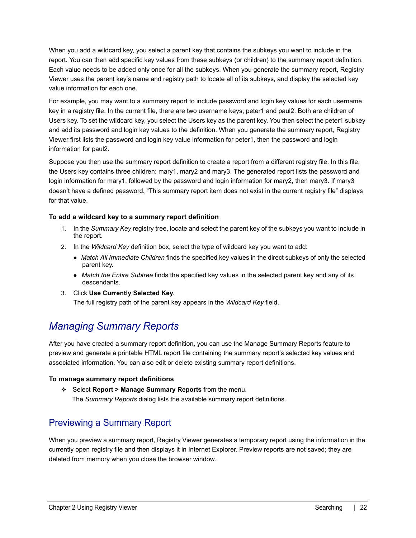When you add a wildcard key, you select a parent key that contains the subkeys you want to include in the report. You can then add specific key values from these subkeys (or children) to the summary report definition. Each value needs to be added only once for all the subkeys. When you generate the summary report, Registry Viewer uses the parent key's name and registry path to locate all of its subkeys, and display the selected key value information for each one.

For example, you may want to a summary report to include password and login key values for each username key in a registry file. In the current file, there are two username keys, peter1 and paul2. Both are children of Users key. To set the wildcard key, you select the Users key as the parent key. You then select the peter1 subkey and add its password and login key values to the definition. When you generate the summary report, Registry Viewer first lists the password and login key value information for peter1, then the password and login information for paul2.

Suppose you then use the summary report definition to create a report from a different registry file. In this file, the Users key contains three children: mary1, mary2 and mary3. The generated report lists the password and login information for mary1, followed by the password and login information for mary2, then mary3. If mary3 doesn't have a defined password, "This summary report item does not exist in the current registry file" displays for that value.

### **To add a wildcard key to a summary report definition**

- 1. In the *Summary Key* registry tree, locate and select the parent key of the subkeys you want to include in the report.
- 2. In the *Wildcard Key* definition box, select the type of wildcard key you want to add:
	- *Match All Immediate Children* finds the specified key values in the direct subkeys of only the selected parent key.
	- *Match the Entire Subtree* finds the specified key values in the selected parent key and any of its descendants.
- 3. Click **Use Currently Selected Key**.

The full registry path of the parent key appears in the *Wildcard Key* field.

### <span id="page-21-0"></span>*Managing Summary Reports*

After you have created a summary report definition, you can use the Manage Summary Reports feature to preview and generate a printable HTML report file containing the summary report's selected key values and associated information. You can also edit or delete existing summary report definitions.

### **To manage summary report definitions**

Select **Report > Manage Summary Reports** from the menu. The *Summary Reports* dialog lists the available summary report definitions.

### Previewing a Summary Report

When you preview a summary report, Registry Viewer generates a temporary report using the information in the currently open registry file and then displays it in Internet Explorer. Preview reports are not saved; they are deleted from memory when you close the browser window.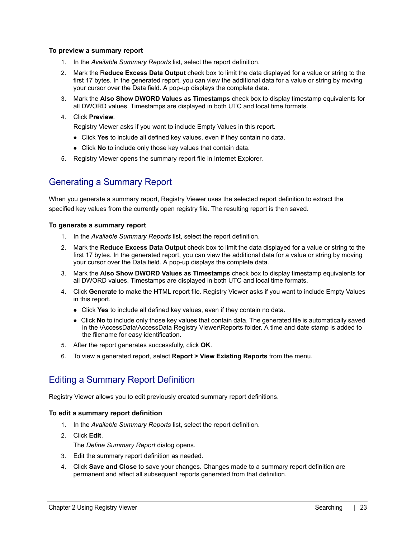#### **To preview a summary report**

- 1. In the *Available Summary Reports* list, select the report definition.
- 2. Mark the R**educe Excess Data Output** check box to limit the data displayed for a value or string to the first 17 bytes. In the generated report, you can view the additional data for a value or string by moving your cursor over the Data field. A pop-up displays the complete data.
- 3. Mark the **Also Show DWORD Values as Timestamps** check box to display timestamp equivalents for all DWORD values. Timestamps are displayed in both UTC and local time formats.
- 4. Click **Preview**.

Registry Viewer asks if you want to include Empty Values in this report.

- Click **Yes** to include all defined key values, even if they contain no data.
- Click **No** to include only those key values that contain data.
- 5. Registry Viewer opens the summary report file in Internet Explorer.

### Generating a Summary Report

When you generate a summary report, Registry Viewer uses the selected report definition to extract the specified key values from the currently open registry file. The resulting report is then saved.

#### **To generate a summary report**

- 1. In the *Available Summary Reports* list, select the report definition.
- 2. Mark the **Reduce Excess Data Output** check box to limit the data displayed for a value or string to the first 17 bytes. In the generated report, you can view the additional data for a value or string by moving your cursor over the Data field. A pop-up displays the complete data.
- 3. Mark the **Also Show DWORD Values as Timestamps** check box to display timestamp equivalents for all DWORD values. Timestamps are displayed in both UTC and local time formats.
- 4. Click **Generate** to make the HTML report file. Registry Viewer asks if you want to include Empty Values in this report.
	- Click **Yes** to include all defined key values, even if they contain no data.
	- Click **No** to include only those key values that contain data. The generated file is automatically saved in the \AccessData\AccessData Registry Viewer\Reports folder. A time and date stamp is added to the filename for easy identification.
- 5. After the report generates successfully, click **OK**.
- 6. To view a generated report, select **Report > View Existing Reports** from the menu.

### Editing a Summary Report Definition

Registry Viewer allows you to edit previously created summary report definitions.

#### **To edit a summary report definition**

- 1. In the *Available Summary Reports* list, select the report definition.
- 2. Click **Edit**. The *Define Summary Report* dialog opens.
- 3. Edit the summary report definition as needed.
- 4. Click **Save and Close** to save your changes. Changes made to a summary report definition are permanent and affect all subsequent reports generated from that definition.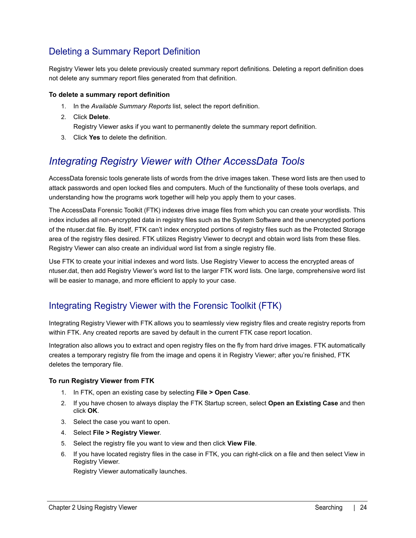### Deleting a Summary Report Definition

Registry Viewer lets you delete previously created summary report definitions. Deleting a report definition does not delete any summary report files generated from that definition.

#### **To delete a summary report definition**

- 1. In the *Available Summary Reports* list, select the report definition.
- 2. Click **Delete**.

Registry Viewer asks if you want to permanently delete the summary report definition.

3. Click **Yes** to delete the definition.

### <span id="page-23-0"></span>*Integrating Registry Viewer with Other AccessData Tools*

AccessData forensic tools generate lists of words from the drive images taken. These word lists are then used to attack passwords and open locked files and computers. Much of the functionality of these tools overlaps, and understanding how the programs work together will help you apply them to your cases.

The AccessData Forensic Toolkit (FTK) indexes drive image files from which you can create your wordlists. This index includes all non-encrypted data in registry files such as the System Software and the unencrypted portions of the ntuser.dat file. By itself, FTK can't index encrypted portions of registry files such as the Protected Storage area of the registry files desired. FTK utilizes Registry Viewer to decrypt and obtain word lists from these files. Registry Viewer can also create an individual word list from a single registry file.

Use FTK to create your initial indexes and word lists. Use Registry Viewer to access the encrypted areas of ntuser.dat, then add Registry Viewer's word list to the larger FTK word lists. One large, comprehensive word list will be easier to manage, and more efficient to apply to your case.

### Integrating Registry Viewer with the Forensic Toolkit (FTK)

Integrating Registry Viewer with FTK allows you to seamlessly view registry files and create registry reports from within FTK. Any created reports are saved by default in the current FTK case report location.

Integration also allows you to extract and open registry files on the fly from hard drive images. FTK automatically creates a temporary registry file from the image and opens it in Registry Viewer; after you're finished, FTK deletes the temporary file.

### **To run Registry Viewer from FTK**

- 1. In FTK, open an existing case by selecting **File > Open Case**.
- 2. If you have chosen to always display the FTK Startup screen, select **Open an Existing Case** and then click **OK**.
- 3. Select the case you want to open.
- 4. Select **File > Registry Viewer**.
- 5. Select the registry file you want to view and then click **View File**.
- 6. If you have located registry files in the case in FTK, you can right-click on a file and then select View in Registry Viewer.

Registry Viewer automatically launches.